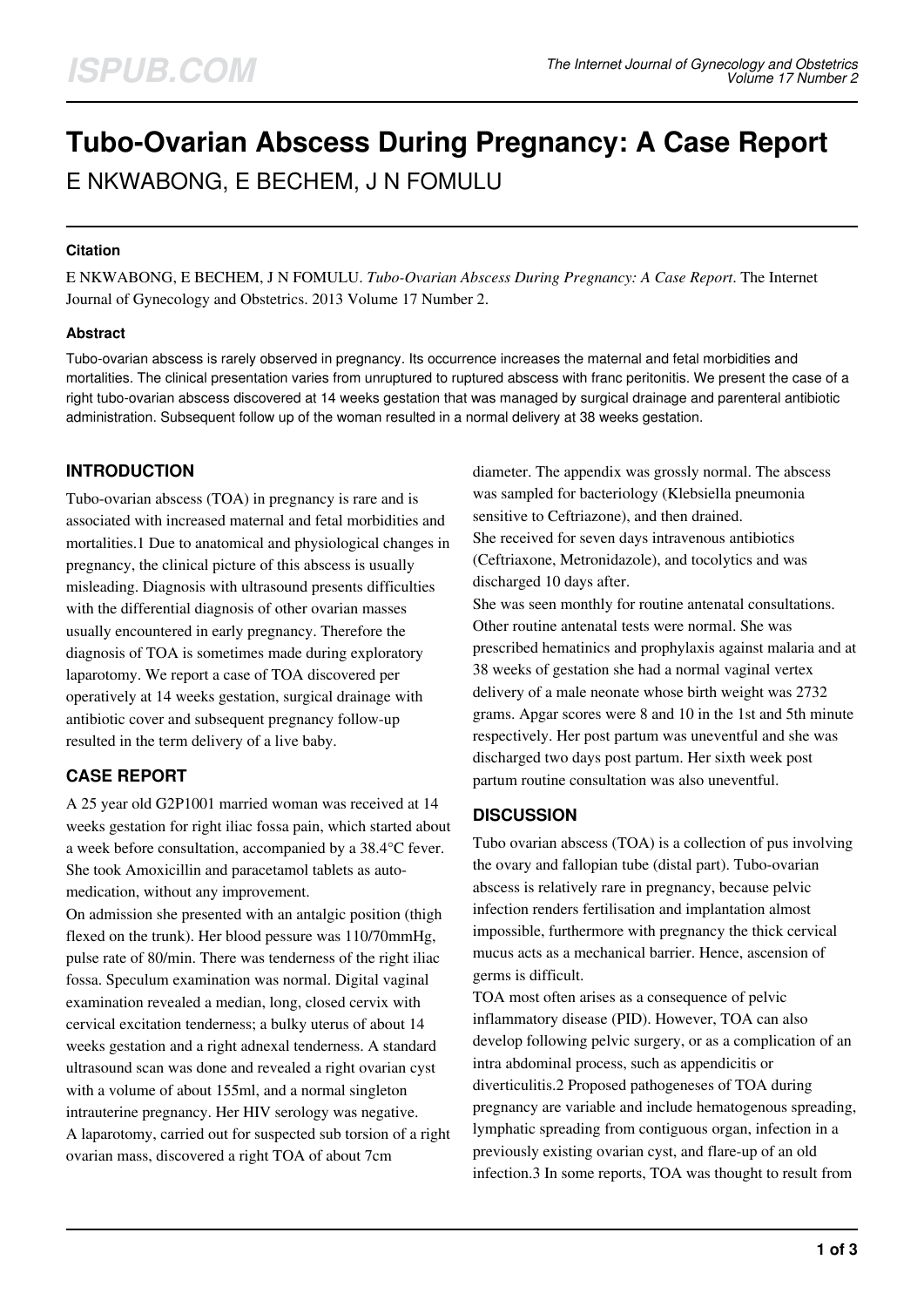# **Tubo-Ovarian Abscess During Pregnancy: A Case Report** E NKWABONG, E BECHEM, J N FOMULU

### **Citation**

E NKWABONG, E BECHEM, J N FOMULU. *Tubo-Ovarian Abscess During Pregnancy: A Case Report*. The Internet Journal of Gynecology and Obstetrics. 2013 Volume 17 Number 2.

#### **Abstract**

Tubo-ovarian abscess is rarely observed in pregnancy. Its occurrence increases the maternal and fetal morbidities and mortalities. The clinical presentation varies from unruptured to ruptured abscess with franc peritonitis. We present the case of a right tubo-ovarian abscess discovered at 14 weeks gestation that was managed by surgical drainage and parenteral antibiotic administration. Subsequent follow up of the woman resulted in a normal delivery at 38 weeks gestation.

## **INTRODUCTION**

Tubo-ovarian abscess (TOA) in pregnancy is rare and is associated with increased maternal and fetal morbidities and mortalities.1 Due to anatomical and physiological changes in pregnancy, the clinical picture of this abscess is usually misleading. Diagnosis with ultrasound presents difficulties with the differential diagnosis of other ovarian masses usually encountered in early pregnancy. Therefore the diagnosis of TOA is sometimes made during exploratory laparotomy. We report a case of TOA discovered per operatively at 14 weeks gestation, surgical drainage with antibiotic cover and subsequent pregnancy follow-up resulted in the term delivery of a live baby.

# **CASE REPORT**

A 25 year old G2P1001 married woman was received at 14 weeks gestation for right iliac fossa pain, which started about a week before consultation, accompanied by a 38.4°C fever. She took Amoxicillin and paracetamol tablets as automedication, without any improvement.

On admission she presented with an antalgic position (thigh flexed on the trunk). Her blood pessure was 110/70mmHg, pulse rate of 80/min. There was tenderness of the right iliac fossa. Speculum examination was normal. Digital vaginal examination revealed a median, long, closed cervix with cervical excitation tenderness; a bulky uterus of about 14 weeks gestation and a right adnexal tenderness. A standard ultrasound scan was done and revealed a right ovarian cyst with a volume of about 155ml, and a normal singleton intrauterine pregnancy. Her HIV serology was negative. A laparotomy, carried out for suspected sub torsion of a right ovarian mass, discovered a right TOA of about 7cm

diameter. The appendix was grossly normal. The abscess was sampled for bacteriology (Klebsiella pneumonia sensitive to Ceftriazone), and then drained. She received for seven days intravenous antibiotics (Ceftriaxone, Metronidazole), and tocolytics and was discharged 10 days after.

She was seen monthly for routine antenatal consultations. Other routine antenatal tests were normal. She was prescribed hematinics and prophylaxis against malaria and at 38 weeks of gestation she had a normal vaginal vertex delivery of a male neonate whose birth weight was 2732 grams. Apgar scores were 8 and 10 in the 1st and 5th minute respectively. Her post partum was uneventful and she was discharged two days post partum. Her sixth week post partum routine consultation was also uneventful.

## **DISCUSSION**

Tubo ovarian abscess (TOA) is a collection of pus involving the ovary and fallopian tube (distal part). Tubo-ovarian abscess is relatively rare in pregnancy, because pelvic infection renders fertilisation and implantation almost impossible, furthermore with pregnancy the thick cervical mucus acts as a mechanical barrier. Hence, ascension of germs is difficult.

TOA most often arises as a consequence of pelvic inflammatory disease (PID). However, TOA can also develop following pelvic surgery, or as a complication of an intra abdominal process, such as appendicitis or diverticulitis.2 Proposed pathogeneses of TOA during pregnancy are variable and include hematogenous spreading, lymphatic spreading from contiguous organ, infection in a previously existing ovarian cyst, and flare-up of an old infection.3 In some reports, TOA was thought to result from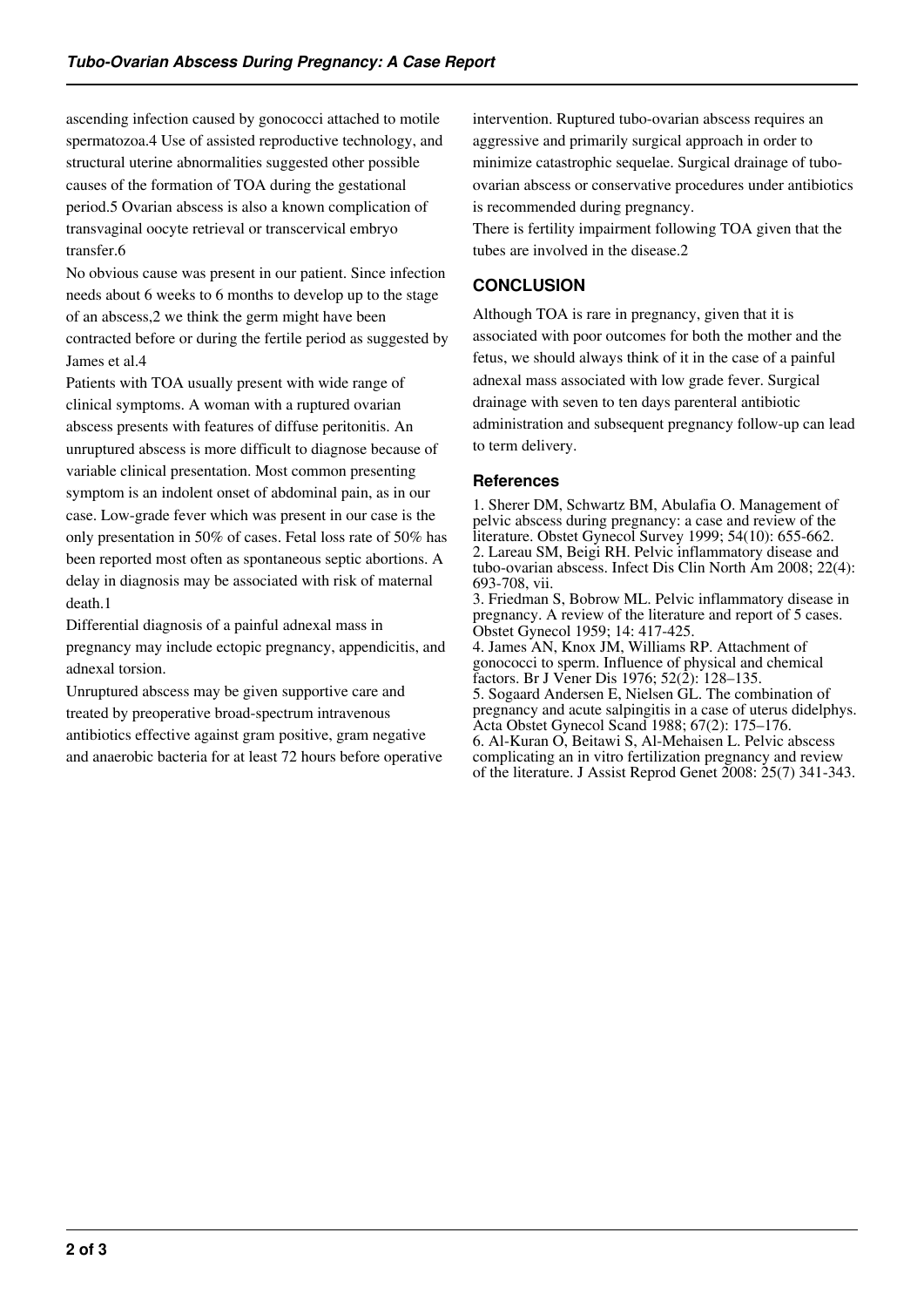ascending infection caused by gonococci attached to motile spermatozoa.4 Use of assisted reproductive technology, and structural uterine abnormalities suggested other possible causes of the formation of TOA during the gestational period.5 Ovarian abscess is also a known complication of transvaginal oocyte retrieval or transcervical embryo transfer.6

No obvious cause was present in our patient. Since infection needs about 6 weeks to 6 months to develop up to the stage of an abscess,2 we think the germ might have been contracted before or during the fertile period as suggested by James et al.4

Patients with TOA usually present with wide range of clinical symptoms. A woman with a ruptured ovarian abscess presents with features of diffuse peritonitis. An unruptured abscess is more difficult to diagnose because of variable clinical presentation. Most common presenting symptom is an indolent onset of abdominal pain, as in our case. Low-grade fever which was present in our case is the only presentation in 50% of cases. Fetal loss rate of 50% has been reported most often as spontaneous septic abortions. A delay in diagnosis may be associated with risk of maternal death.1

Differential diagnosis of a painful adnexal mass in pregnancy may include ectopic pregnancy, appendicitis, and adnexal torsion.

Unruptured abscess may be given supportive care and treated by preoperative broad-spectrum intravenous antibiotics effective against gram positive, gram negative and anaerobic bacteria for at least 72 hours before operative intervention. Ruptured tubo-ovarian abscess requires an aggressive and primarily surgical approach in order to minimize catastrophic sequelae. Surgical drainage of tuboovarian abscess or conservative procedures under antibiotics is recommended during pregnancy.

There is fertility impairment following TOA given that the tubes are involved in the disease.2

# **CONCLUSION**

Although TOA is rare in pregnancy, given that it is associated with poor outcomes for both the mother and the fetus, we should always think of it in the case of a painful adnexal mass associated with low grade fever. Surgical drainage with seven to ten days parenteral antibiotic administration and subsequent pregnancy follow-up can lead to term delivery.

## **References**

1. Sherer DM, Schwartz BM, Abulafia O. Management of pelvic abscess during pregnancy: a case and review of the literature. Obstet Gynecol Survey 1999; 54(10): 655-662. 2. Lareau SM, Beigi RH. Pelvic inflammatory disease and tubo-ovarian abscess. Infect Dis Clin North Am 2008; 22(4): 693-708, vii. 3. Friedman S, Bobrow ML. Pelvic inflammatory disease in pregnancy. A review of the literature and report of 5 cases.

Obstet Gynecol 1959; 14: 417-425. 4. James AN, Knox JM, Williams RP. Attachment of gonococci to sperm. Influence of physical and chemical factors. Br J Vener Dis 1976; 52(2): 128–135.

5. Sogaard Andersen E, Nielsen GL. The combination of pregnancy and acute salpingitis in a case of uterus didelphys. Acta Obstet Gynecol Scand 1988; 67(2): 175–176. 6. Al-Kuran O, Beitawi S, Al-Mehaisen L. Pelvic abscess

complicating an in vitro fertilization pregnancy and review of the literature. J Assist Reprod Genet 2008: 25(7) 341-343.